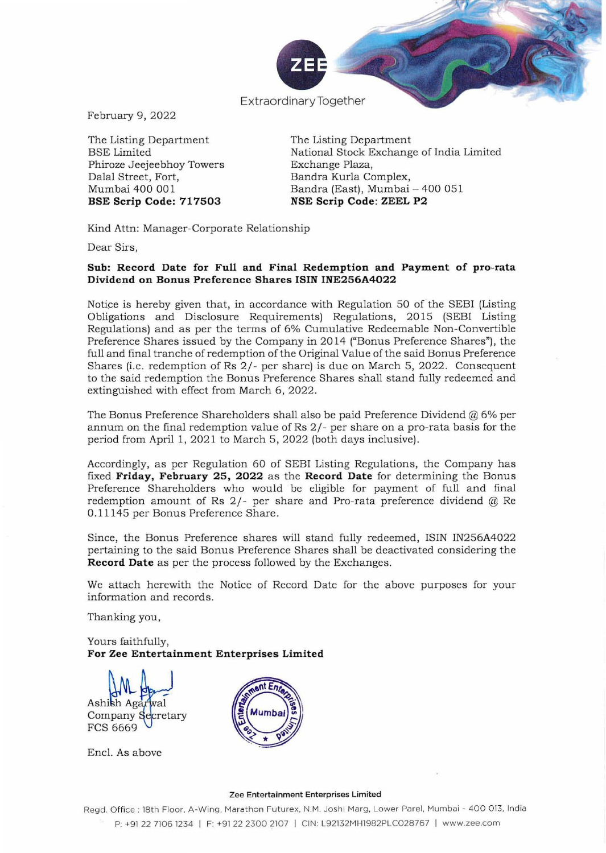

Extraordinary Together

February 9, 2022

The Listing Department BSE Limited Phiroze Jeejeebhoy Towers Dalal Street, Fort, Mumbai 400 001 **BSE Scrip Code: 717503** 

The Listing Department National Stock Exchange of India Limited Exchange Plaza, Bandra Kurla Complex, Bandra (East), Mumbai - 400 051 **NSE Scrip Code : ZEEL P2** 

Kind Attn: Manager-Corporate Relationship

**Dear Sirs,** 

# **Sub: Record Date for Full and Final Redemption and Payment of pro-rata Dividend on Bonus Preference Shares ISIN INE256A4022**

Notice is hereby given that, in accordance with Regulation 50 of the SEBI (Listing Obligations and Disclosure Requirements) Regulations, 2015 (SEBI Listing Regulations) and as per the terms of 6% Cumulative Redeemable Non-Convertible Preference Shares issued by the Company in 2014 ("Bonus Preference Shares"). the full and final tranche of redemption of the Original Value of the said Bonus Preference Shares (i.e. redemption of Rs 2/- per share) is due on March 5, 2022. Consequent to the said redemption the Bonus Preference Shares shall stand fully redeemed and extinguished with effect from March 6, 2022.

The Bonus Preference Shareholders shall also be paid Preference Dividend  $@$  6% per annum on the final redemption value of Rs 2/ - per share on a pro-rata basis for the period from April 1, 2021 to March 5, 2022 (both days inclusive).

Accordingly, as per Regulation 60 of SEBI Listing Regulations, the Company has fixed **Friday, February** 25, **2022** as the **Record Date** for determining the Bonus Preference Shareholders who would be eligible for payment of full and final redemption amount of Rs 2/- per share and Pro-rata preference dividend @ Re 0.11145 per Bonus Preference Share.

Since, the Bonus Preference shares will stand fully redeemed, ISIN IN256A4022 pertaining to the said Bonus Preference Shares shall be deactivated considering the **Record Date** as per the process followed by the Exchanges.

We attach herewith the Notice of Record Date for the above purposes for your information and records.

Thanking you,

Yours faithfully, **For Zee Entertainment Enterprises Limited** 

Ashish Agarwal<br>Company Secretary  $\mathbf{L}$ FCS 6669

Enc!. As above



#### **Zee Entertainment Enterprises Limited**

Regd. Office : 18th Floor, A-Wing, Marathon Futurex, N.M. Joshi Marg, Lower Parel, Mumbai - 400 013, India P: +91 22 71061234 I F: +91 22 2300 2107 I CiN: L92132MH1982PLC028767 I www.zee.com